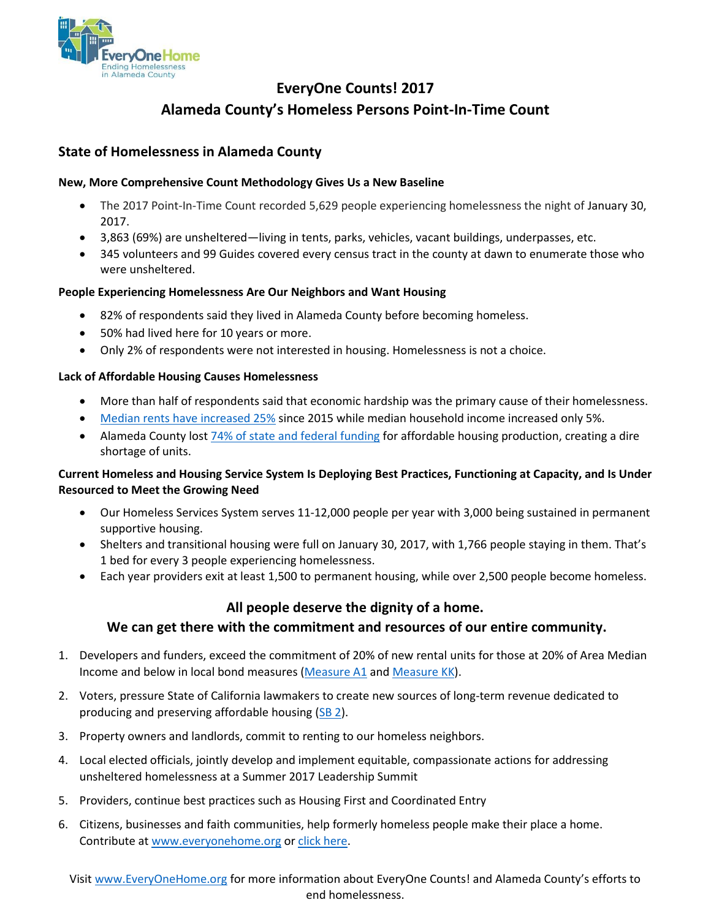

# **EveryOne Counts! 2017 Alameda County's Homeless Persons Point-In-Time Count**

### **State of Homelessness in Alameda County**

### **New, More Comprehensive Count Methodology Gives Us a New Baseline**

- The 2017 Point-In-Time Count recorded 5,629 people experiencing homelessness the night of January 30, 2017.
- 3,863 (69%) are unsheltered—living in tents, parks, vehicles, vacant buildings, underpasses, etc.
- 345 volunteers and 99 Guides covered every census tract in the county at dawn to enumerate those who were unsheltered.

### **People Experiencing Homelessness Are Our Neighbors and Want Housing**

- 82% of respondents said they lived in Alameda County before becoming homeless.
- 50% had lived here for 10 years or more.
- Only 2% of respondents were not interested in housing. Homelessness is not a choice.

### **Lack of Affordable Housing Causes Homelessness**

- More than half of respondents said that economic hardship was the primary cause of their homelessness.
- [Median rents have](https://www.rentjungle.com/average-rent-in-oakland-rent-trends/) increased 25% since 2015 while median household income increased only 5%.
- Alameda County los[t 74% of state and federal funding](http://1p08d91kd0c03rlxhmhtydpr.wpengine.netdna-cdn.com/wp-content/uploads/2017/05/Alameda-County-2017.pdf) for affordable housing production, creating a dire shortage of units.

### **Current Homeless and Housing Service System Is Deploying Best Practices, Functioning at Capacity, and Is Under Resourced to Meet the Growing Need**

- Our Homeless Services System serves 11-12,000 people per year with 3,000 being sustained in permanent supportive housing.
- Shelters and transitional housing were full on January 30, 2017, with 1,766 people staying in them. That's 1 bed for every 3 people experiencing homelessness.
- Each year providers exit at least 1,500 to permanent housing, while over 2,500 people become homeless.

## **All people deserve the dignity of a home. We can get there with the commitment and resources of our entire community.**

- 1. Developers and funders, exceed the commitment of 20% of new rental units for those at 20% of Area Median Income and below in local bond measures [\(Measure A1](https://www.acgov.org/cda/hcd/bond.htm) and [Measure KK\)](http://yesonkkforoakland.com/).
- 2. Voters, pressure State of California lawmakers to create new sources of long-term revenue dedicated to producing and preserving affordable housing [\(SB 2\)](https://leginfo.legislature.ca.gov/faces/billNavClient.xhtml?bill_id=201720180SB2).
- 3. Property owners and landlords, commit to renting to our homeless neighbors.
- 4. Local elected officials, jointly develop and implement equitable, compassionate actions for addressing unsheltered homelessness at a Summer 2017 Leadership Summit
- 5. Providers, continue best practices such as Housing First and Coordinated Entry
- 6. Citizens, businesses and faith communities, help formerly homeless people make their place a home. Contribute a[t www.everyonehome.org](http://www.everyonehome.org/) o[r click here.](https://connect.clickandpledge.com/w/Form/aadb20e7-54b2-4fe5-ac60-0929b21e333a?prv=369805)

Visit [www.EveryOneHome.org](http://www.everyonehome.org/) for more information about EveryOne Counts! and Alameda County's efforts to end homelessness.